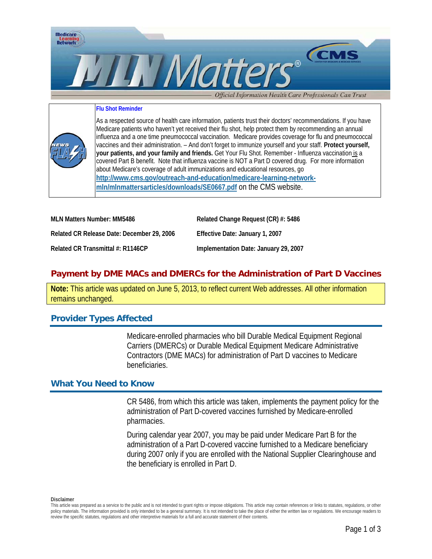

#### **Flu Shot Reminder**

As a respected source of health care information, patients trust their doctors' recommendations. If you have Medicare patients who haven't yet received their flu shot, help protect them by recommending an annual influenza and a one time pneumococcal vaccination. Medicare provides coverage for flu and pneumococcal vaccines and their administration. – And don't forget to immunize yourself and your staff. **Protect yourself, your patients, and your family and friends.** Get Your Flu Shot. Remember - Influenza vaccination is a covered Part B benefit. Note that influenza vaccine is NOT a Part D covered drug. For more information about Medicare's coverage of adult immunizations and educational resources, go **[http://www.cms.gov/outreach-and-education/medicare-learning-network](http://www.cms.gov/outreach-and-education/medicare-learning-network-mln/mlnmattersarticles/downloads/SE0667.pdf)[mln/mlnmattersarticles/downloads/SE0667.pdf](http://www.cms.gov/outreach-and-education/medicare-learning-network-mln/mlnmattersarticles/downloads/SE0667.pdf)** on the CMS website.

| MLN Matters Number: MM5486                 | Related Change Request (CR) #: 5486   |
|--------------------------------------------|---------------------------------------|
| Related CR Release Date: December 29, 2006 | Effective Date: January 1, 2007       |
| Related CR Transmittal #: R1146CP          | Implementation Date: January 29, 2007 |

# **Payment by DME MACs and DMERCs for the Administration of Part D Vaccines**

**Note:** This article was updated on June 5, 2013, to reflect current Web addresses. All other information remains unchanged.

### **Provider Types Affected**

Medicare-enrolled pharmacies who bill Durable Medical Equipment Regional Carriers (DMERCs) or Durable Medical Equipment Medicare Administrative Contractors (DME MACs) for administration of Part D vaccines to Medicare beneficiaries.

#### **What You Need to Know**

CR 5486, from which this article was taken, implements the payment policy for the administration of Part D-covered vaccines furnished by Medicare-enrolled pharmacies.

During calendar year 2007, you may be paid under Medicare Part B for the administration of a Part D-covered vaccine furnished to a Medicare beneficiary during 2007 only if you are enrolled with the National Supplier Clearinghouse and the beneficiary is enrolled in Part D.

**Disclaimer** 

This article was prepared as a service to the public and is not intended to grant rights or impose obligations. This article may contain references or links to statutes, regulations, or other policy materials. The information provided is only intended to be a general summary. It is not intended to take the place of either the written law or regulations. We encourage readers to review the specific statutes, regulations and other interpretive materials for a full and accurate statement of their contents.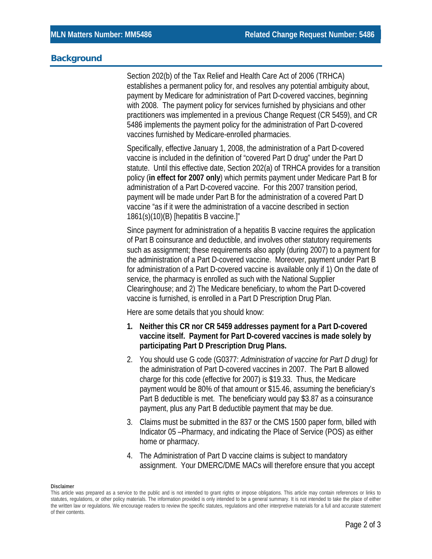### **Background**

Section 202(b) of the Tax Relief and Health Care Act of 2006 (TRHCA) establishes a permanent policy for, and resolves any potential ambiguity about, payment by Medicare for administration of Part D-covered vaccines, beginning with 2008. The payment policy for services furnished by physicians and other practitioners was implemented in a previous Change Request (CR 5459), and CR 5486 implements the payment policy for the administration of Part D-covered vaccines furnished by Medicare-enrolled pharmacies.

Specifically, effective January 1, 2008, the administration of a Part D-covered vaccine is included in the definition of "covered Part D drug" under the Part D statute. Until this effective date, Section 202(a) of TRHCA provides for a transition policy (**in effect for 2007 only**) which permits payment under Medicare Part B for administration of a Part D-covered vaccine. For this 2007 transition period, payment will be made under Part B for the administration of a covered Part D vaccine "as if it were the administration of a vaccine described in section 1861(s)(10)(B) [hepatitis B vaccine.]"

Since payment for administration of a hepatitis B vaccine requires the application of Part B coinsurance and deductible, and involves other statutory requirements such as assignment; these requirements also apply (during 2007) to a payment for the administration of a Part D-covered vaccine. Moreover, payment under Part B for administration of a Part D-covered vaccine is available only if 1) On the date of service, the pharmacy is enrolled as such with the National Supplier Clearinghouse; and 2) The Medicare beneficiary, to whom the Part D-covered vaccine is furnished, is enrolled in a Part D Prescription Drug Plan.

Here are some details that you should know:

- **1. Neither this CR nor CR 5459 addresses payment for a Part D-covered vaccine itself. Payment for Part D-covered vaccines is made solely by participating Part D Prescription Drug Plans.**
- 2. You should use G code (G0377: *Administration of vaccine for Part D drug)* for the administration of Part D-covered vaccines in 2007. The Part B allowed charge for this code (effective for 2007) is \$19.33. Thus, the Medicare payment would be 80% of that amount or \$15.46, assuming the beneficiary's Part B deductible is met. The beneficiary would pay \$3.87 as a coinsurance payment, plus any Part B deductible payment that may be due.
- 3. Claims must be submitted in the 837 or the CMS 1500 paper form, billed with Indicator 05 –Pharmacy, and indicating the Place of Service (POS) as either home or pharmacy.
- 4. The Administration of Part D vaccine claims is subject to mandatory assignment. Your DMERC/DME MACs will therefore ensure that you accept

**Disclaimer** 

This article was prepared as a service to the public and is not intended to grant rights or impose obligations. This article may contain references or links to statutes, regulations, or other policy materials. The information provided is only intended to be a general summary. It is not intended to take the place of either the written law or regulations. We encourage readers to review the specific statutes, regulations and other interpretive materials for a full and accurate statement of their contents.